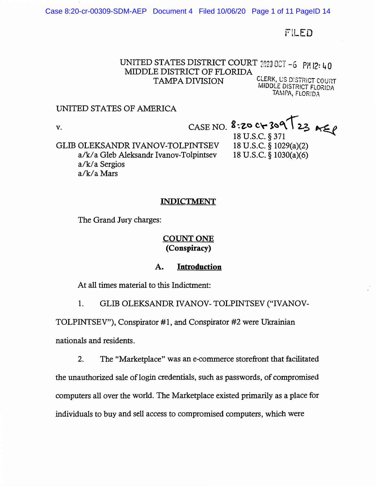Case 8:20-cr-00309-SDM-AEP Document 4 Filed 10/06/20 Page 1 of 11 PageID 14

FILED

# UNITED STATES DISTRICT COURT 2020 0CT -6 PM I2: 40 MIDDLE DISTRICT OF FLORIDA **TAMPA DIVISION** CLERK, US DISTRICT COURT

MJDDLE DISTRICT FLORJDA TAMPA, FLORIDA

### UNITED STATES OF AMERICA

V. CASE NO. **8:20 C+309 123**<br>GLIB OLEKSANDR IVANOV-TOLPINTSEV 18 U.S.C. § 1029(a)(2) GLIB OLEKSANDR IVANOV-TOLPINTSEV 18 U.S.C. § 1029(a)(2)<br>a/k/a Gleb Aleksandr Ivanov-Tolpintsev 18 U.S.C. § 1030(a)(6) a/k/a Gleb Aleksandr Ivanov-Tolpintsev a/k/ a Sergios a/k/aMars

### **INDICTMENT**

The Grand Jury charges:

# **COUNT ONE (Conspiracy)**

### **A. Introduction**

At all times material to this Indictment:

1. GLIB OLEKSANDR IVANOV- TOLPINTSEV ("IVANOV-

TOLPINTSEV"), Conspirator #1, and Conspirator #2 were Ukrainian nationals and residents.

2. The "Marketplace" was an e-commerce storefront that facilitated the unauthorized sale of login credentials, such as passwords, of compromised computers all over the world. The Marketplace existed primarily as a place for individuals to buy and sell access to compromised computers, which were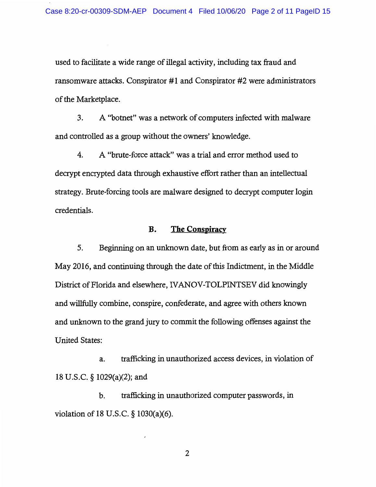used to facilitate a wide range of illegal activity, including tax fraud and ransomware attacks. Conspirator #1 and Conspirator #2 were administrators of the Marketplace.

3. A "botnet" was a network of computers infected with malware and controlled as a group without the owners' knowledge.

4. A "brute-force attack" was a trial and error method used to decrypt encrypted data through exhaustive effort rather than an intellectual strategy. Brute-forcing tools are malware designed to decrypt computer login credentials.

#### **B. The Conspiracy**

5. Beginning on an unknown date, but from as early as in or around May 2016, and continuing through the date of this Indictment, in the Middle District of Florida and elsewhere, IV ANOV-TOLPINTSEV did knowingly and willfully combine, conspire, confederate, and agree with others known and unknown to the grand jury to commit the following offenses against the United States:

a. trafficking in unauthorized access devices, in violation of 18 U.S.C. § 1029(a)(2); and

b. trafficking in unauthorized computer passwords, in violation of 18 U.S.C. § 1030(a)(6).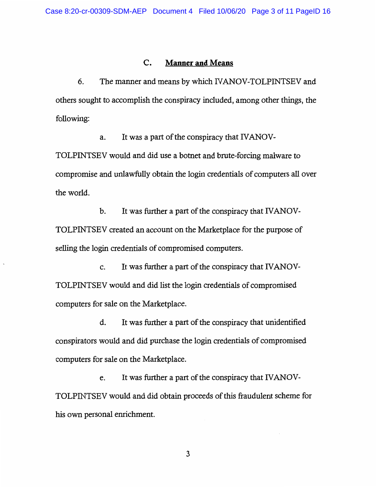### **C. Manner and Means**

6. The manner and means by which IVANOV-TOLPINTSEV and others sought to accomplish the conspiracy included, among other things, the following:

a. It was a part of the conspiracy that IVANOV-TOLPINTSEV would and did use a botnet and brute-forcing malware to compromise and unlawfully obtain the login credentials of computers all over the world.

b. It was further a part of the conspiracy that IVANOV-TOLPINTSEV created an account on the Marketplace for the purpose of selling the login credentials of compromised computers.

c. It was further a part of the conspiracy that IVANOV-TOLPINTSEV would and did list the login credentials of compromised computers for sale on the Marketplace.

d. It was further a part of the conspiracy that unidentified conspirators would and did purchase the login credentials of compromised computers for sale on the Marketplace.

e. It was further a part of the conspiracy that IVANOV-TOLPINTSEV would and did obtain proceeds of this fraudulent scheme for his own personal enrichment.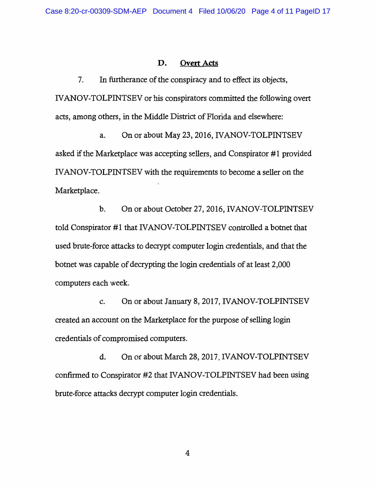### **D. Overt Acts**

7. In furtherance of the conspiracy and to effect its objects, IV ANOV-TOLPINTSEV or his conspirators committed the following overt acts, among others, in the Middle District of Florida and elsewhere:

a. On or about May 23, 2016, IVANOV-TOLPINTSEV asked if the Marketplace was accepting sellers, and Conspirator #1 provided IV ANOV-TOLPINTSEV with the requirements to become a seller on the Marketplace.

b. On or about October 27, 2016, IVANOV-TOLPINTSEV told Conspirator #1 that IV ANOV-TOLPINTSEV controlled a botnet that used brute-force attacks to decrypt computer login credentials, and that the botnet was capable of decrypting the login credentials of at least 2,000 computers each week.

c. On or about January 8, 2017, IVANOV-TOLPINTSEV created an account on the Marketplace for the purpose of selling login credentials of compromised computers.

d. On or about March 28, 2017, IV ANOV-TOLPINTSEV confirmed to Conspirator #2 that IV ANOV-TOLPINTSEV had been using brute-force attacks decrypt computer login credentials.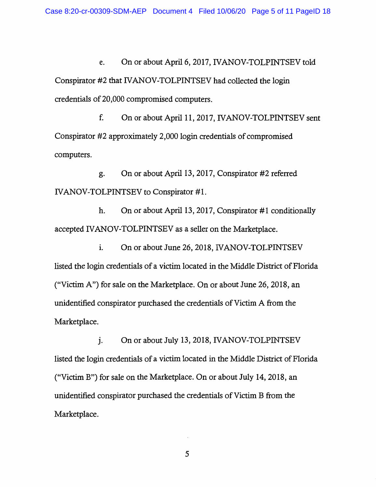e. On or about April 6, 2017, IV ANOV-TOLPINTSEV told Conspirator #2 that IV ANOV-TOLPINTSEV had collected the login credentials of 20,000 compromised computers.

f. On or about April 11, 2017, IVANOV-TOLPINTSEV sent Conspirator #2 approximately 2,000 login credentials of compromised computers.

g. On or about April 13, 2017, Conspirator #2 referred IV ANOV-TOLPINTSEV to Conspirator #1.

h. On or about April 13, 2017, Conspirator  $\#1$  conditionally accepted IV ANOV-TOLPINTSEV as a seller on the Marketplace.

i. On or about June 26, 2018, IVANOV-TOLPINTSEV listed the login credentials of a victim located in the Middle District of Florida ("Victim A") for sale on the Marketplace. On or about June 26, 2018, an unidentified conspirator purchased the credentials of Victim A from the Marketplace.

j. On or about July 13, 2018, IVANOV-TOLPINTSEV listed the login credentials of a victim located in the Middle District of Florida ("Victim B") for sale on the Marketplace. On or about July 14, 2018, an unidentified conspirator purchased the credentials of Victim B from the Marketplace.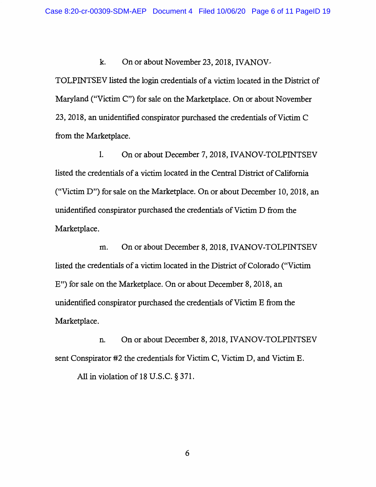k. On or about November 23, 2018, IVANOV-

TOLPINTSEV listed the login credentials of a victim located in the District of Maryland ("Victim C") for sale on the Marketplace. On or about November 23, 2018, an unidentified conspirator purchased the credentials of Victim C from the Marketplace.

I. On or about December 7, 2018, IV ANOV-TOLPINTSEV listed the credentials of a victim located in the Central District of California ("Victim D") for sale on the Marketplace. On or about December 10, 2018, an unidentified conspirator purchased the credentials of Victim D from the Marketplace.

m. On or about December 8, 2018, IVANOV-TOLPINTSEV listed the credentials of a victim located in the District of Colorado ("Victim E") for sale on the Marketplace. On or about December 8, 2018, an unidentified conspirator purchased the credentials of Victim E from the Marketplace.

n. On or about December 8, 2018, IVANOV-TOLPINTSEV sent Conspirator #2 the credentials for Victim C, Victim D, and Victim E.

All in violation of 18 U.S.C. § 371.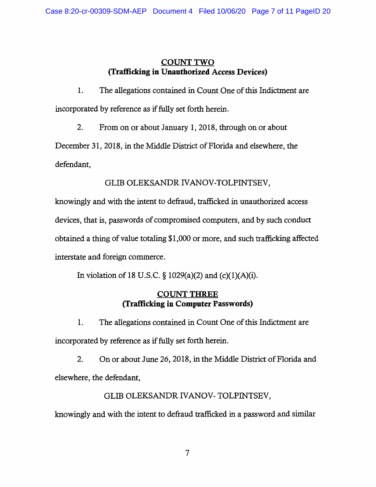## **COUNTTWO (Trafficking** in **Unauthorized Access Devices)**

1. The allegations contained in Count One of this Indictment are incorporated by reference as if fully set forth herein.

2. From on or about January 1, 2018, through on or about

December 31, 2018, in the Middle District of Florida and elsewhere, the defendant,

GLIB OLEKSANDR *N* ANOV-TOLPINTSEV,

knowingly and with the intent to defraud, trafficked in unauthorized access devices, that is, passwords of compromised computers, and by such conduct obtained a thing of value totaling \$1,000 or more, and such trafficking affected interstate and foreign commerce.

In violation of 18 U.S.C. § 1029(a)(2) and (c)(1)(A)(i).

# **COUNT THREE (Trafficking in Computer Passwords)**

1. The allegations contained in Count One of this Indictment are incorporated by reference as if fully set forth herein.

2. On or about June 26, 2018, in the Middle District of Florida and elsewhere, the defendant,

# GLIB OLEKSANDR *IVANOV-* TOLPINTSEV,

knowingly and with the intent to defraud trafficked in a password and similar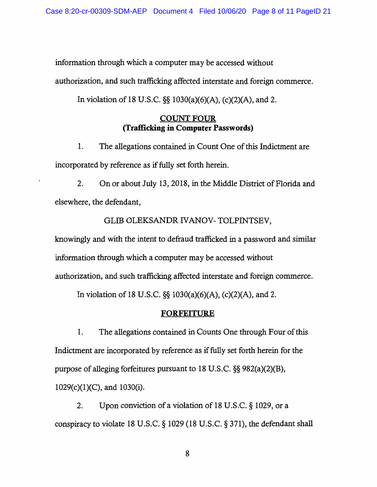information through which a computer may be accessed without

authorization, and such trafficking affected interstate and foreign commerce.

In violation of 18 U.S.C. §§ 1030(a)(6)(A), (c)(2)(A), and 2.

## **COUNT FOUR (Trafficking in Computer Passwords)**

1. The allegations contained in Count One of this Indictment are incorporated by reference as if fully set forth herein.

2. On or about July 13, 2018, in the Middle District of Florida and elsewhere, the defendant,

## GLIB OLEKSANDR *IVANOV-* TOLPINTSEV,

knowingly and with the intent to defraud trafficked in a password and similar information through which a computer may be accessed without authorization, and such trafficking affected interstate and foreign commerce.

In violation of 18 U.S.C. §§ 1030(a)(6)(A), (c)(2)(A), and 2.

### **FORFEITURE**

1. The allegations contained in Counts One through Four of this Indictment are incorporated by reference as if fully set forth herein for the purpose of alleging forfeitures pursuant to 18 U.S.C. §§ 982(a)(2)(B), 1029(c)(l)(C), and 1030(i).

2. Upon conviction of a violation of 18 U.S.C. § 1029, or a conspiracy to violate 18 U.S.C. § 1029 (18 U.S.C. § 371), the defendant shall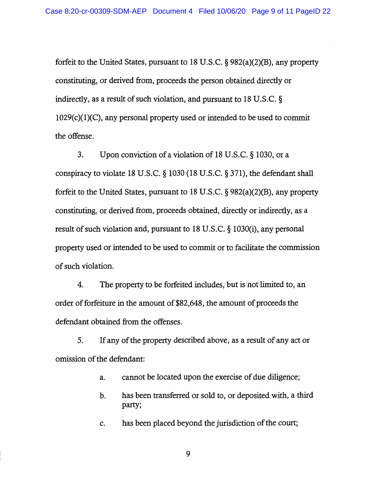forfeit to the United States, pursuant to 18 U.S.C. § 982(a)(2)(B), any property constituting, or derived from, proceeds the person obtained directly or indirectly, as a result of such violation, and pursuant to 18 U.S.C. §  $1029(c)(1)(C)$ , any personal property used or intended to be used to commit the offense.

3. Upon conviction of a violation of 18 U.S.C. § 1030, or a conspiracy to violate 18 U.S.C. § 1030 (18 U.S.C. § 371), the defendant shall forfeit to the United States, pursuant to 18 U.S.C. § 982(a)(2)(B), any property constituting, or derived from, proceeds obtained, directly or indirectly, as a result of such violation and, pursuant to 18 U.S.C. § 1030(i), any personal property used or intended to be used to commit or to facilitate the commission of such violation.

4. The property to be forfeited includes, but is not limited to, an order of forfeiture in the amount of \$82,648, the amount of proceeds the defendant obtained from the offenses.

5. If any of the property described above, as a result of any act or omission of the defendant:

- a. cannot be located upon the exercise of due diligence;
- b. has been transferred or sold to, or deposited with, a third party;

c. has been placed beyond the jurisdiction of the court;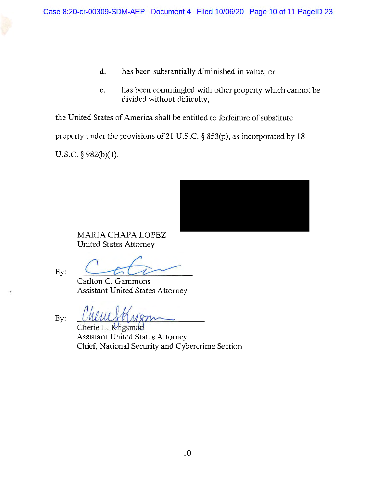- d. has been substantially diminished in value; or
- e. has been commingled with other property which cannot be divided without difficulty,

the United States of America shall be entitled to forfeiture of substitute

property under the provisions of 21 U.S.C. § 853(p), as incorporated by 18

U.S.C. § 982(b)(l).



MARIA CHAPA LOPEZ United States Attorney

By:

Carlton C. Gammons

Assistant United States Attorney

Assistant United States Attorney<br>By: <u>CMUUY HM'S manus</u><br>Cherie L. Krigsman

Assistant United States Attorney Chief, National Security and Cybercrime Section